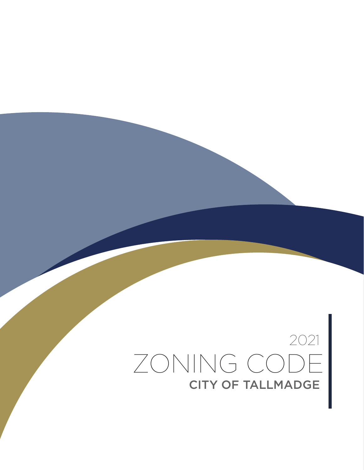### 2021 ZONING CODE CITY OF TALLMADGE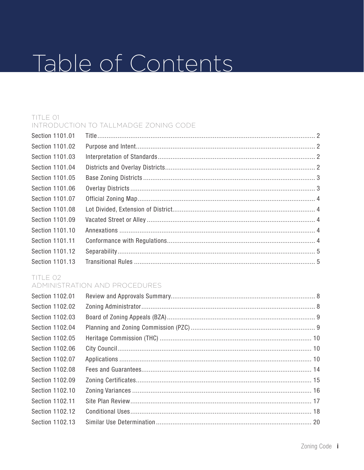## Table of Contents

#### TITLE 01 INTRODUCTION TO TALLMADGE ZONING CODE

| Section 1101.01 |  |
|-----------------|--|
| Section 1101.02 |  |
| Section 1101.03 |  |
| Section 1101.04 |  |
| Section 1101.05 |  |
| Section 1101.06 |  |
| Section 1101.07 |  |
| Section 1101.08 |  |
| Section 1101.09 |  |
| Section 1101.10 |  |
| Section 1101.11 |  |
| Section 1101.12 |  |
| Section 1101.13 |  |

### TITLE 02

#### ADMINISTRATION AND PROCEDURES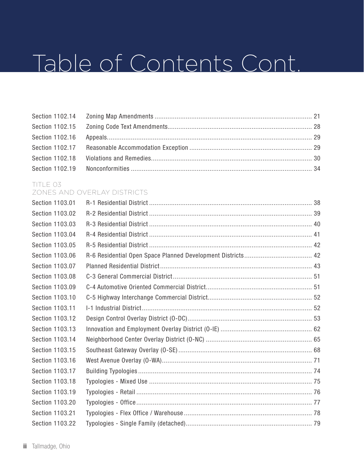#### TITLE 03 ZONES AND OVERLAY DISTRICTS

| Section 1103.01 |  |
|-----------------|--|
| Section 1103.02 |  |
| Section 1103.03 |  |
| Section 1103.04 |  |
| Section 1103.05 |  |
| Section 1103.06 |  |
| Section 1103.07 |  |
| Section 1103.08 |  |
| Section 1103.09 |  |
| Section 1103.10 |  |
| Section 1103.11 |  |
| Section 1103.12 |  |
| Section 1103.13 |  |
| Section 1103.14 |  |
| Section 1103.15 |  |
| Section 1103.16 |  |
| Section 1103.17 |  |
| Section 1103.18 |  |
| Section 1103.19 |  |
| Section 1103.20 |  |
| Section 1103.21 |  |
| Section 1103.22 |  |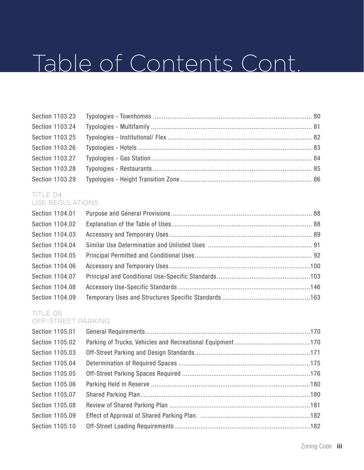#### TITLE 04 USE REGULATIONS

| Section 1104.01 |  |
|-----------------|--|
| Section 1104.02 |  |
| Section 1104.03 |  |
| Section 1104.04 |  |
| Section 1104.05 |  |
| Section 1104.06 |  |
| Section 1104.07 |  |
| Section 1104.08 |  |
| Section 1104.09 |  |

### TITLE 05

#### OFF-STREET PARKING

| Section 1105.01 |  |
|-----------------|--|
| Section 1105.02 |  |
| Section 1105.03 |  |
| Section 1105.04 |  |
| Section 1105.05 |  |
| Section 1105.06 |  |
| Section 1105.07 |  |
| Section 1105.08 |  |
| Section 1105.09 |  |
| Section 1105.10 |  |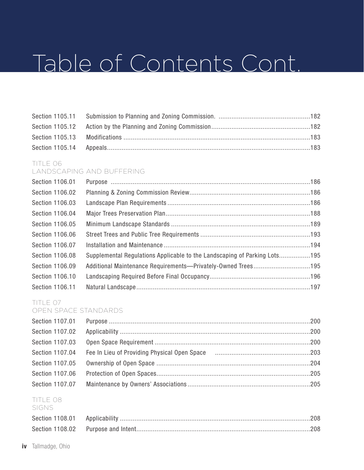#### TITLE 06 LANDSCAPING AND BUFFERING

| Section 1106.01 |                                                                           |  |
|-----------------|---------------------------------------------------------------------------|--|
| Section 1106.02 |                                                                           |  |
| Section 1106.03 |                                                                           |  |
| Section 1106.04 |                                                                           |  |
| Section 1106.05 |                                                                           |  |
| Section 1106.06 |                                                                           |  |
| Section 1106.07 |                                                                           |  |
| Section 1106.08 | Supplemental Regulations Applicable to the Landscaping of Parking Lots195 |  |
| Section 1106.09 | Additional Maintenance Requirements—Privately-Owned Trees195              |  |
| Section 1106.10 |                                                                           |  |
| Section 1106.11 |                                                                           |  |

#### TITLE 07 OPEN SPACE STANDARDS

| Section 1107.02 |  |
|-----------------|--|
| Section 1107.03 |  |
|                 |  |
|                 |  |
| Section 1107.06 |  |
|                 |  |
|                 |  |

#### TITLE 08 SIGNS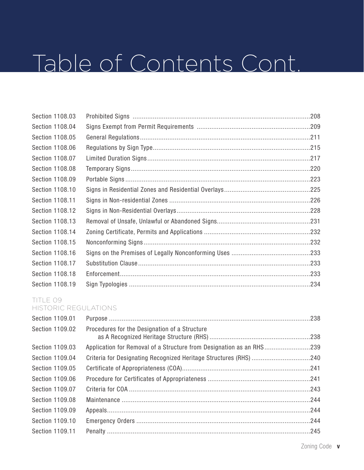| Section 1108.03        |  |
|------------------------|--|
| Section 1108.04        |  |
| Section 1108.05        |  |
| Section 1108.06        |  |
| Section 1108.07        |  |
| <b>Section 1108.08</b> |  |
| Section 1108.09        |  |
| Section 1108.10        |  |
| Section 1108.11        |  |
| Section 1108.12        |  |
| Section 1108.13        |  |
| Section 1108.14        |  |
| Section 1108.15        |  |
| Section 1108.16        |  |
| Section 1108.17        |  |
| Section 1108.18        |  |
| Section 1108.19        |  |

#### TITLE 09 HISTORIC REGULATIONS

| Section 1109.01 |                                                                      |  |
|-----------------|----------------------------------------------------------------------|--|
| Section 1109.02 | Procedures for the Designation of a Structure                        |  |
| Section 1109.03 | Application for Removal of a Structure from Designation as an RHS239 |  |
| Section 1109.04 |                                                                      |  |
| Section 1109.05 |                                                                      |  |
| Section 1109.06 |                                                                      |  |
| Section 1109.07 |                                                                      |  |
| Section 1109.08 |                                                                      |  |
| Section 1109.09 |                                                                      |  |
| Section 1109.10 |                                                                      |  |
| Section 1109.11 |                                                                      |  |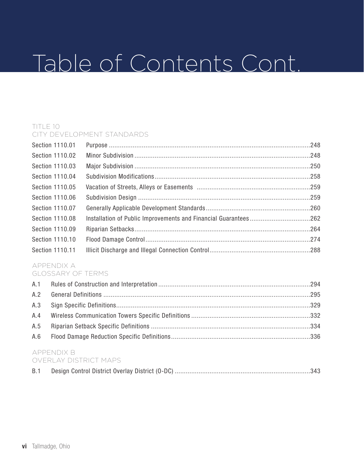#### TITLE 10 CITY DEVELOPMENT STANDARDS

| Section 1110.01 |                                                                 |  |
|-----------------|-----------------------------------------------------------------|--|
| Section 1110.02 |                                                                 |  |
| Section 1110.03 |                                                                 |  |
| Section 1110.04 |                                                                 |  |
| Section 1110.05 |                                                                 |  |
| Section 1110.06 |                                                                 |  |
| Section 1110.07 |                                                                 |  |
| Section 1110.08 | Installation of Public Improvements and Financial Guarantees262 |  |
| Section 1110.09 |                                                                 |  |
| Section 1110.10 |                                                                 |  |
| Section 1110.11 |                                                                 |  |
|                 |                                                                 |  |

#### APPENDIX A GLOSSARY OF TERMS

#### APPENDIX B OVERLAY DISTRICT MAPS

| - UVERLAY DISTRICT MAPS - |  |  |
|---------------------------|--|--|
|                           |  |  |

| B.1 |  |  |  |  |  |
|-----|--|--|--|--|--|
|-----|--|--|--|--|--|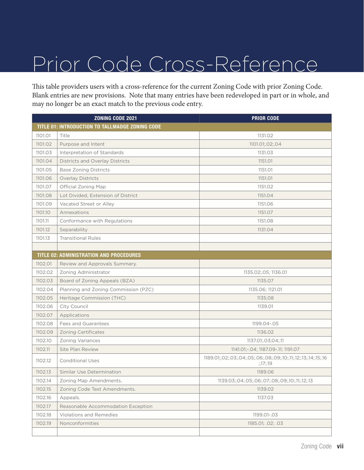This table providers users with a cross-reference for the current Zoning Code with prior Zoning Code. Blank entries are new provisions. Note that many entries have been redeveloped in part or in whole, and may no longer be an exact match to the previous code entry.

|         | <b>ZONING CODE 2021</b>                         | <b>PRIOR CODE</b>                                                         |
|---------|-------------------------------------------------|---------------------------------------------------------------------------|
|         | TITLE 01: INTRODUCTION TO TALLMADGE ZONING CODE |                                                                           |
| 1101.01 | Title                                           | 1131.02                                                                   |
| 1101.02 | Purpose and Intent                              | 1101.01:02:04                                                             |
| 1101.03 | Interpretation of Standards                     | 1131.03                                                                   |
| 1101.04 | <b>Districts and Overlay Districts</b>          | 1151.01                                                                   |
| 1101.05 | <b>Base Zoning Districts</b>                    | 1151.01                                                                   |
| 1101.06 | <b>Overlay Districts</b>                        | 1151.01                                                                   |
| 1101.07 | Official Zoning Map                             | 1151.02                                                                   |
| 1101.08 | Lot Divided, Extension of District              | 1151.04                                                                   |
| 1101.09 | Vacated Street or Alley                         | 1151.06                                                                   |
| 1101.10 | Annexations                                     | 1151.07                                                                   |
| 1101.11 | Conformance with Regulations                    | 1151.08                                                                   |
| 1101.12 | Separability                                    | 1131.04                                                                   |
| 1101.13 | <b>Transitional Rules</b>                       |                                                                           |
|         |                                                 |                                                                           |
|         | TITLE 02: ADMINISTRATION AND PROCEDURES         |                                                                           |
| 1102.01 | Review and Approvals Summary.                   |                                                                           |
| 1102.02 | Zoning Administrator                            | 1135.02;.05; 1136.01                                                      |
| 1102.03 | Board of Zoning Appeals (BZA)                   | 1135.07                                                                   |
| 1102.04 | Planning and Zoning Commission (PZC)            | 1135.06; 1121.01                                                          |
| 1102.05 | Heritage Commission (THC)                       | 1135.08                                                                   |
| 1102.06 | City Council                                    | 1139.01                                                                   |
| 1102.07 | Applications                                    |                                                                           |
| 1102.08 | Fees and Guarantees                             | 1199.04 -. 05                                                             |
| 1102.09 | <b>Zoning Certificates</b>                      | 1136.02                                                                   |
| 1102.10 | <b>Zoning Variances</b>                         | 1137.01;.03;04;.11                                                        |
| 1102.11 | Site Plan Review                                | 1141.01; -. 04; 1187.09 -. 11; 1191.07                                    |
| 1102.12 | <b>Conditional Uses</b>                         | 1189.01;.02;.03;.04;.05;.06;.08;.09;.10;.11;.12;.13;.14;.15;.16<br>:17:19 |
| 1102.13 | Similar Use Determination                       | 1189.06                                                                   |
| 1102.14 | Zoning Map Amendments.                          | 1139.03;.04;.05;.06;.07;.08;.09;.10;.11;.12;.13                           |
| 1102.15 | Zoning Code Text Amendments.                    | 1139.02                                                                   |
| 1102.16 | Appeals.                                        | 1137.03                                                                   |
| 1102.17 | Reasonable Accommodation Exception              |                                                                           |
| 1102.18 | Violations and Remedies                         | 1199.01-.03                                                               |
| 1102.19 | Nonconformities                                 | 1185.01; .02; .03                                                         |
|         |                                                 |                                                                           |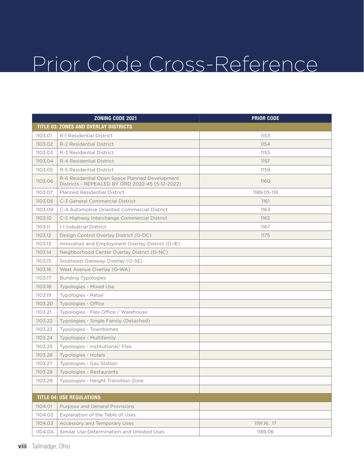|         | <b>ZONING CODE 2021</b>                                                                           | <b>PRIOR CODE</b> |
|---------|---------------------------------------------------------------------------------------------------|-------------------|
|         | <b>TITLE 03: ZONES AND OVERLAY DISTRICTS</b>                                                      |                   |
| 1103.01 | R-1 Residential District                                                                          | 1153              |
| 1103.02 | R-2 Residential District                                                                          | 1154              |
| 1103.03 | R-3 Residential District                                                                          | 1155              |
| 1103.04 | R-4 Residential District                                                                          | 1157              |
| 1103.05 | R-5 Residential District                                                                          | 1159              |
| 1103.06 | R-6 Residential Open Space Planned Development<br>Districts - REPEALED BY ORD 2022-45 (5-12-2022) | 1160              |
| 1103.07 | <b>Planned Residential District</b>                                                               | 1189.05-118       |
| 1103.08 | C-3 General Commercial District                                                                   | 1161              |
| 1103.09 | C-4 Automotive Oriented Commercial District                                                       | 1163              |
| 1103.10 | C-5 Highway Interchange Commercial District                                                       | 1165              |
| 1103.11 | <b>I-1 Industrial District</b>                                                                    | 1167              |
| 1103.12 | Design Control Overlay District (O-DC)                                                            | 1175              |
| 1103.13 | Innovation and Employment Overlay District (O-IE)                                                 |                   |
| 1103.14 | Neighborhood Center Overlay District (O-NC)                                                       |                   |
| 1103.15 | Southeast Gateway Overlay (O-SE)                                                                  |                   |
| 1103.16 | West Avenue Overlay (O-WA)                                                                        |                   |
| 1103.17 | <b>Building Typologies</b>                                                                        |                   |
| 1103.18 | Typologies - Mixed Use                                                                            |                   |
| 1103.19 | Typologies - Retail                                                                               |                   |
| 1103.20 | Typologies - Office                                                                               |                   |
| 1103.21 | Typologies - Flex Office / Warehouse                                                              |                   |
| 1103.22 | Typologies - Single Family (Detached)                                                             |                   |
| 1103.23 | Typologies - Townhomes                                                                            |                   |
| 1103.24 | Typologies - Multifamily                                                                          |                   |
| 1103.25 | Typologies - Institutional/ Flex                                                                  |                   |
| 1103.26 | Typologies - Hotels                                                                               |                   |
| 1103.27 | Typologies - Gas Station                                                                          |                   |
| 1103.28 | Typologies - Restaurants                                                                          |                   |
| 1103.29 | Typologies - Height Transition Zone                                                               |                   |
|         |                                                                                                   |                   |
|         | <b>TITLE 04: USE REGULATIONS</b>                                                                  |                   |
| 1104.01 | Purpose and General Provisions                                                                    |                   |
| 1104.02 | Explanation of the Table of Uses                                                                  |                   |
| 1104.03 | Accessory and Temporary Uses                                                                      | 1191.16, .17      |
| 1104.04 | Similar Use Determination and Unlisted Uses                                                       | 1189.06           |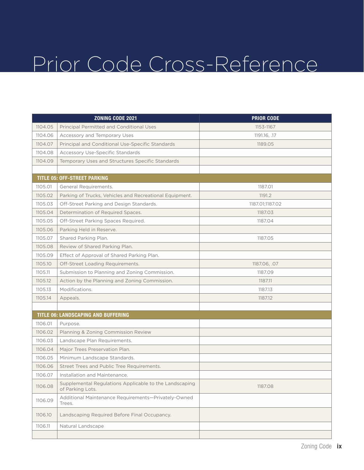|         | ZONING CODE 2021                                                           | <b>PRIOR CODE</b> |
|---------|----------------------------------------------------------------------------|-------------------|
| 1104.05 | <b>Principal Permitted and Conditional Uses</b>                            | 1153-1167         |
| 1104.06 | Accessory and Temporary Uses                                               | 1191.16, .17      |
| 1104.07 | Principal and Conditional Use-Specific Standards                           | 1189.05           |
| 1104.08 | <b>Accessory Use-Specific Standards</b>                                    |                   |
| 1104.09 | Temporary Uses and Structures Specific Standards                           |                   |
|         |                                                                            |                   |
|         | <b>TITLE 05: OFF-STREET PARKING</b>                                        |                   |
| 1105.01 | General Requirements.                                                      | 1187.01           |
| 1105.02 | Parking of Trucks, Vehicles and Recreational Equipment.                    | 1191.2            |
| 1105.03 | Off-Street Parking and Design Standards.                                   | 1187.01;1187.02   |
| 1105.04 | Determination of Required Spaces.                                          | 1187.03           |
| 1105.05 | Off-Street Parking Spaces Required.                                        | 1187.04           |
| 1105.06 | Parking Held in Reserve.                                                   |                   |
| 1105.07 | Shared Parking Plan.                                                       | 1187.05           |
| 1105.08 | Review of Shared Parking Plan.                                             |                   |
| 1105.09 | Effect of Approval of Shared Parking Plan.                                 |                   |
| 1105.10 | Off-Street Loading Requirements.                                           | 1187.06, .07      |
| 1105.11 | Submission to Planning and Zoning Commission.                              | 1187.09           |
| 1105.12 | Action by the Planning and Zoning Commission.                              | 1187.11           |
| 1105.13 | Modifications.                                                             | 1187.13           |
| 1105.14 | Appeals.                                                                   | 1187.12           |
|         |                                                                            |                   |
|         | TITLE 06: LANDSCAPING AND BUFFERING                                        |                   |
| 1106.01 | Purpose.                                                                   |                   |
| 1106.02 | Planning & Zoning Commission Review                                        |                   |
| 1106.03 | Landscape Plan Requirements.                                               |                   |
| 1106.04 | Major Trees Preservation Plan.                                             |                   |
| 1106.05 | Minimum Landscape Standards.                                               |                   |
| 1106.06 | Street Trees and Public Tree Requirements.                                 |                   |
| 1106.07 | Installation and Maintenance.                                              |                   |
| 1106.08 | Supplemental Regulations Applicable to the Landscaping<br>of Parking Lots. | 1187.08           |
| 1106.09 | Additional Maintenance Requirements-Privately-Owned<br>Trees.              |                   |
| 1106.10 | Landscaping Required Before Final Occupancy.                               |                   |
| 1106.11 | Natural Landscape                                                          |                   |
|         |                                                                            |                   |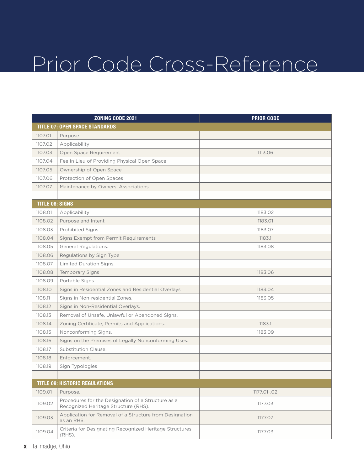|                        | <b>ZONING CODE 2021</b>                                                                    | <b>PRIOR CODE</b> |
|------------------------|--------------------------------------------------------------------------------------------|-------------------|
|                        | <b>TITLE 07: OPEN SPACE STANDARDS</b>                                                      |                   |
| 1107.01                | Purpose                                                                                    |                   |
| 1107.02                | Applicability                                                                              |                   |
| 1107.03                | Open Space Requirement                                                                     | 1113.06           |
| 1107.04                | Fee In Lieu of Providing Physical Open Space                                               |                   |
| 1107.05                | Ownership of Open Space                                                                    |                   |
| 1107.06                | Protection of Open Spaces                                                                  |                   |
| 1107.07                | Maintenance by Owners' Associations                                                        |                   |
|                        |                                                                                            |                   |
| <b>TITLE 08: SIGNS</b> |                                                                                            |                   |
| 1108.01                | Applicability                                                                              | 1183.02           |
| 1108.02                | Purpose and Intent                                                                         | 1183.01           |
| 1108.03                | <b>Prohibited Signs</b>                                                                    | 1183.07           |
| 1108.04                | Signs Exempt from Permit Requirements                                                      | 1183.1            |
| 1108.05                | General Regulations.                                                                       | 1183.08           |
| 1108.06                | Regulations by Sign Type                                                                   |                   |
| 1108.07                | Limited Duration Signs.                                                                    |                   |
| 1108.08                | <b>Temporary Signs</b>                                                                     | 1183.06           |
| 1108.09                | Portable Signs                                                                             |                   |
| 1108.10                | Signs in Residential Zones and Residential Overlays                                        | 1183.04           |
| 1108.11                | Signs in Non-residential Zones.                                                            | 1183.05           |
| 1108.12                | Signs in Non-Residential Overlays.                                                         |                   |
| 1108.13                | Removal of Unsafe, Unlawful or Abandoned Signs.                                            |                   |
| 1108.14                | Zoning Certificate, Permits and Applications.                                              | 1183.1            |
| 1108.15                | Nonconforming Signs.                                                                       | 1183.09           |
| 1108.16                | Signs on the Premises of Legally Nonconforming Uses.                                       |                   |
| 1108.17                | Substitution Clause.                                                                       |                   |
| 1108.18                | Enforcement.                                                                               |                   |
| 1108.19                | Sign Typologies                                                                            |                   |
|                        |                                                                                            |                   |
|                        | <b>TITLE 09: HISTORIC REGULATIONS</b>                                                      |                   |
| 1109.01                | Purpose.                                                                                   | 1177.01-.02       |
| 1109.02                | Procedures for the Designation of a Structure as a<br>Recognized Heritage Structure (RHS). | 1177.03           |
| 1109.03                | Application for Removal of a Structure from Designation<br>as an RHS.                      | 1177.07           |
| 1109.04                | Criteria for Designating Recognized Heritage Structures<br>$(RHS)$ .                       | 1177.03           |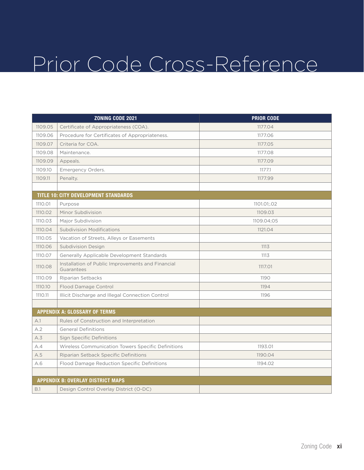|         | ZONING CODE 2021                                                | <b>PRIOR CODE</b> |
|---------|-----------------------------------------------------------------|-------------------|
| 1109.05 | Certificate of Appropriateness (COA).                           | 1177.04           |
| 1109.06 | Procedure for Certificates of Appropriateness.                  | 1177.06           |
| 1109.07 | Criteria for COA.                                               | 1177.05           |
| 1109.08 | Maintenance.                                                    | 1177.08           |
| 1109.09 | Appeals.                                                        | 1177.09           |
| 1109.10 | Emergency Orders.                                               | 1177.1            |
| 1109.11 | Penalty.                                                        | 1177.99           |
|         |                                                                 |                   |
|         | TITLE 10: CITY DEVELOPMENT STANDARDS                            |                   |
| 1110.01 | Purpose                                                         | 1101.01:02        |
| 1110.02 | Minor Subdivision                                               | 1109.03           |
| 1110.03 | Major Subdivision                                               | 1109.04;05        |
| 1110.04 | <b>Subdivision Modifications</b>                                | 1121.04           |
| 1110.05 | Vacation of Streets, Alleys or Easements                        |                   |
| 1110.06 | <b>Subdivision Design</b>                                       | 1113              |
| 1110.07 | Generally Applicable Development Standards                      | 1113              |
| 1110.08 | Installation of Public Improvements and Financial<br>Guarantees | 1117.01           |
| 1110.09 | Riparian Setbacks                                               | 1190              |
| 1110.10 | Flood Damage Control                                            | 1194              |
| 1110.11 | Illicit Discharge and Illegal Connection Control                | 1196              |
|         |                                                                 |                   |
|         | <b>APPENDIX A: GLOSSARY OF TERMS</b>                            |                   |
| A.1     | Rules of Construction and Interpretation                        |                   |
| A.2     | <b>General Definitions</b>                                      |                   |
| A.3     | Sign Specific Definitions                                       |                   |
| A.4     | Wireless Communication Towers Specific Definitions              | 1193.01           |
| A.5     | Riparian Setback Specific Definitions                           | 1190.04           |
| A.6     | Flood Damage Reduction Specific Definitions                     | 1194.02           |
|         |                                                                 |                   |
|         | <b>APPENDIX B: OVERLAY DISTRICT MAPS</b>                        |                   |
| B.1     | Design Control Overlay District (O-DC)                          |                   |